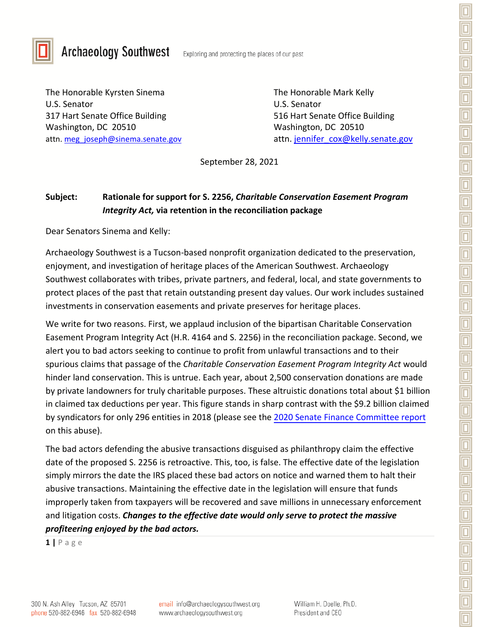



## **Archaeology Southwest**

Exploring and protecting the places of our past

The Honorable Kyrsten Sinema The Honorable Mark Kelly U.S. Senator U.S. Senator 317 Hart Senate Office Building 516 Hart Senate Office Building Washington, DC 20510 Washington, DC 20510

attn. [meg\\_joseph@sinema.senate.gov](mailto:meg_joseph@sinema.senate.gov) attn. [jennifer\\_cox@kelly.senate.gov](mailto:jennifer_cox@kelly.senate.gov)

September 28, 2021

## **Subject: Rationale for support for S. 2256,** *Charitable Conservation Easement Program Integrity Act,* **via retention in the reconciliation package**

Dear Senators Sinema and Kelly:

Archaeology Southwest is a Tucson-based nonprofit organization dedicated to the preservation, enjoyment, and investigation of heritage places of the American Southwest. Archaeology Southwest collaborates with tribes, private partners, and federal, local, and state governments to protect places of the past that retain outstanding present day values. Our work includes sustained investments in conservation easements and private preserves for heritage places.

We write for two reasons. First, we applaud inclusion of the bipartisan Charitable Conservation Easement Program Integrity Act (H.R. 4164 and S. 2256) in the reconciliation package. Second, we alert you to bad actors seeking to continue to profit from unlawful transactions and to their spurious claims that passage of the *Charitable Conservation Easement Program Integrity Act* would hinder land conservation. This is untrue. Each year, about 2,500 conservation donations are made by private landowners for truly charitable purposes. These altruistic donations total about \$1 billion in claimed tax deductions per year. This figure stands in sharp contrast with the \$9.2 billion claimed by syndicators for only 296 entities in 2018 (please see the [2020 Senate Finance Committee report](https://www.finance.senate.gov/imo/media/doc/Committee%20Print.pdf) on this abuse).

The bad actors defending the abusive transactions disguised as philanthropy claim the effective date of the proposed S. 2256 is retroactive. This, too, is false. The effective date of the legislation simply mirrors the date the IRS placed these bad actors on notice and warned them to halt their abusive transactions. Maintaining the effective date in the legislation will ensure that funds improperly taken from taxpayers will be recovered and save millions in unnecessary enforcement and litigation costs. *Changes to the effective date would only serve to protect the massive profiteering enjoyed by the bad actors.*

**1 |** P a g e